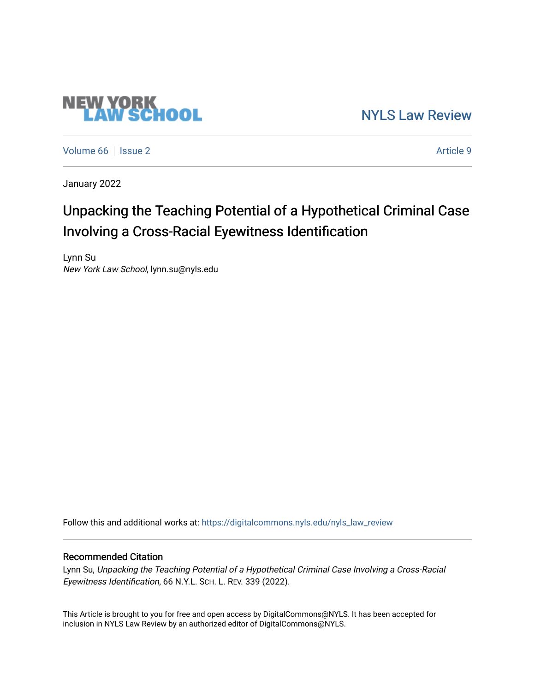# **NEW YORK<br>LAW SCHOOL**

[NYLS Law Review](https://digitalcommons.nyls.edu/nyls_law_review) 

[Volume 66](https://digitalcommons.nyls.edu/nyls_law_review/vol66) | [Issue 2](https://digitalcommons.nyls.edu/nyls_law_review/vol66/iss2) Article 9

January 2022

# Unpacking the Teaching Potential of a Hypothetical Criminal Case Involving a Cross-Racial Eyewitness Identification

Lynn Su New York Law School, lynn.su@nyls.edu

Follow this and additional works at: [https://digitalcommons.nyls.edu/nyls\\_law\\_review](https://digitalcommons.nyls.edu/nyls_law_review?utm_source=digitalcommons.nyls.edu%2Fnyls_law_review%2Fvol66%2Fiss2%2F9&utm_medium=PDF&utm_campaign=PDFCoverPages) 

# Recommended Citation

Lynn Su, Unpacking the Teaching Potential of a Hypothetical Criminal Case Involving a Cross-Racial Eyewitness Identification, 66 N.Y.L. SCH. L. REV. 339 (2022).

This Article is brought to you for free and open access by DigitalCommons@NYLS. It has been accepted for inclusion in NYLS Law Review by an authorized editor of DigitalCommons@NYLS.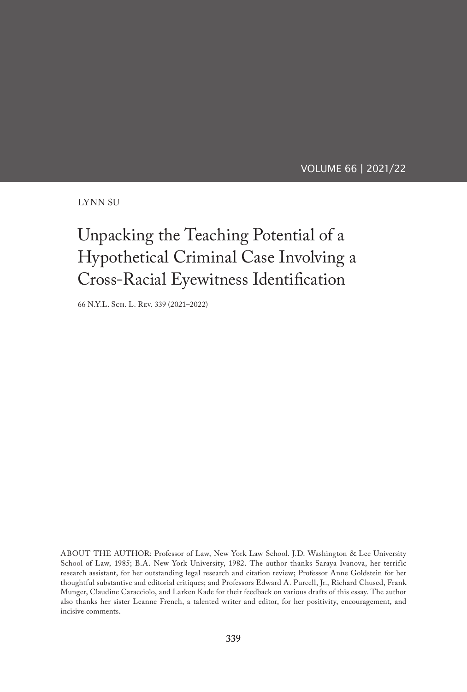VOLUME 66 | 2021/22

LYNN SU

# Unpacking the Teaching Potential of a Hypothetical Criminal Case Involving a Cross-Racial Eyewitness Identification

66 N.Y.L. Sch. L. Rev. 339 (2021–2022)

ABOUT THE AUTHOR: Professor of Law, New York Law School. J.D. Washington & Lee University School of Law, 1985; B.A. New York University, 1982. The author thanks Saraya Ivanova, her terrific research assistant, for her outstanding legal research and citation review; Professor Anne Goldstein for her thoughtful substantive and editorial critiques; and Professors Edward A. Purcell, Jr., Richard Chused, Frank Munger, Claudine Caracciolo, and Larken Kade for their feedback on various drafts of this essay. The author also thanks her sister Leanne French, a talented writer and editor, for her positivity, encouragement, and incisive comments.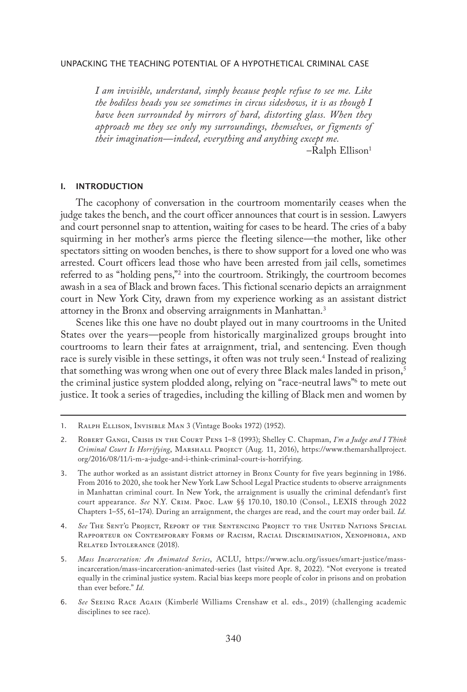*I am invisible, understand, simply because people refuse to see me. Like the bodiless heads you see sometimes in circus sideshows, it is as though I have been surrounded by mirrors of hard, distorting glass. When they approach me they see only my surroundings, themselves, or figments of their imagination—indeed, everything and anything except me.*

 $-Ralph$  Ellison<sup>1</sup>

#### I. INTRODUCTION

The cacophony of conversation in the courtroom momentarily ceases when the judge takes the bench, and the court officer announces that court is in session. Lawyers and court personnel snap to attention, waiting for cases to be heard. The cries of a baby squirming in her mother's arms pierce the fleeting silence—the mother, like other spectators sitting on wooden benches, is there to show support for a loved one who was arrested. Court officers lead those who have been arrested from jail cells, sometimes referred to as "holding pens,"2 into the courtroom. Strikingly, the courtroom becomes awash in a sea of Black and brown faces. This fictional scenario depicts an arraignment court in New York City, drawn from my experience working as an assistant district attorney in the Bronx and observing arraignments in Manhattan.3

Scenes like this one have no doubt played out in many courtrooms in the United States over the years—people from historically marginalized groups brought into courtrooms to learn their fates at arraignment, trial, and sentencing. Even though race is surely visible in these settings, it often was not truly seen.<sup>4</sup> Instead of realizing that something was wrong when one out of every three Black males landed in prison,<sup>5</sup> the criminal justice system plodded along, relying on "race-neutral laws"6 to mete out justice. It took a series of tragedies, including the killing of Black men and women by

6. *See* Seeing Race Again (Kimberlé Williams Crenshaw et al. eds., 2019) (challenging academic disciplines to see race).

<sup>1.</sup> Ralph Ellison, Invisible Man 3 (Vintage Books 1972) (1952).

<sup>2.</sup> Robert Gangi, Crisis in the Court Pens 1–8 (1993); Shelley C. Chapman, *I'm a Judge and I Think Criminal Court Is Horrifying*, Marshall Project (Aug. 11, 2016), https://www.themarshallproject. org/2016/08/11/i-m-a-judge-and-i-think-criminal-court-is-horrifying.

<sup>3.</sup> The author worked as an assistant district attorney in Bronx County for five years beginning in 1986. From 2016 to 2020, she took her New York Law School Legal Practice students to observe arraignments in Manhattan criminal court. In New York, the arraignment is usually the criminal defendant's first court appearance. *See* N.Y. Crim. Proc. Law §§ 170.10, 180.10 (Consol., LEXIS through 2022 Chapters 1–55, 61–174). During an arraignment, the charges are read, and the court may order bail. *Id.*

<sup>4.</sup> *See* The Sent'g Project, Report of the Sentencing Project to the United Nations Special Rapporteur on Contemporary Forms of Racism, Racial Discrimination, Xenophobia, and RELATED INTOLERANCE (2018).

<sup>5.</sup> *Mass Incarceration: An Animated Series*, ACLU, https://www.aclu.org/issues/smart-justice/massincarceration/mass-incarceration-animated-series (last visited Apr. 8, 2022). "Not everyone is treated equally in the criminal justice system. Racial bias keeps more people of color in prisons and on probation than ever before." *Id.*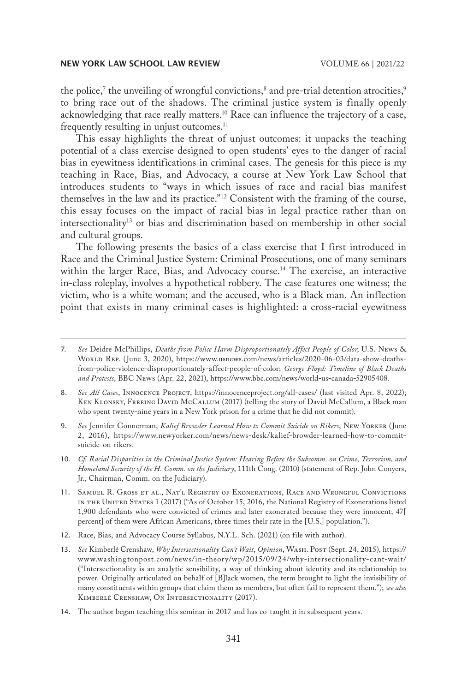the police, $^7$  the unveiling of wrongful convictions, $^8$  and pre-trial detention atrocities, $^9$ to bring race out of the shadows. The criminal justice system is finally openly acknowledging that race really matters.<sup>10</sup> Race can influence the trajectory of a case, frequently resulting in unjust outcomes.<sup>11</sup>

This essay highlights the threat of unjust outcomes: it unpacks the teaching potential of a class exercise designed to open students' eyes to the danger of racial bias in eyewitness identifications in criminal cases. The genesis for this piece is my teaching in Race, Bias, and Advocacy, a course at New York Law School that introduces students to "ways in which issues of race and racial bias manifest themselves in the law and its practice."12 Consistent with the framing of the course, this essay focuses on the impact of racial bias in legal practice rather than on intersectionality<sup>13</sup> or bias and discrimination based on membership in other social and cultural groups.

The following presents the basics of a class exercise that I first introduced in Race and the Criminal Justice System: Criminal Prosecutions, one of many seminars within the larger Race, Bias, and Advocacy course.<sup>14</sup> The exercise, an interactive in-class roleplay, involves a hypothetical robbery. The case features one witness; the victim, who is a white woman; and the accused, who is a Black man. An inflection point that exists in many criminal cases is highlighted: a cross-racial eyewitness

- 9. *See* Jennifer Gonnerman, *Kalief Browder Learned How to Commit Suicide on Rikers*, New Yorker (June 2, 2016), https://www.newyorker.com/news/news-desk/kalief-browder-learned-how-to-commitsuicide-on-rikers.
- 10. *Cf. Racial Disparities in the Criminal Justice System: Hearing Before the Subcomm. on Crime, Terrorism, and Homeland Security of the H. Comm. on the Judiciary*, 111th Cong. (2010) (statement of Rep. John Conyers, Jr., Chairman, Comm. on the Judiciary).
- 11. Samuel R. Gross et al., Nat'l Registry of Exonerations, Race and Wrongful Convictions in the United States 1 (2017) ("As of October 15, 2016, the National Registry of Exonerations listed 1,900 defendants who were convicted of crimes and later exonerated because they were innocent; 47[ percent] of them were African Americans, three times their rate in the [U.S.] population.").
- 12. Race, Bias, and Advocacy Course Syllabus, N.Y.L. Sch. (2021) (on file with author).
- 13. *See* Kimberlé Crenshaw, *Why Intersectionality Can't Wait*, *Opinion*, Wash. Post (Sept. 24, 2015), https:// www.washingtonpost.com/news/in-theory/wp/2015/09/24/why-intersectionality-cant-wait/ ("Intersectionality is an analytic sensibility, a way of thinking about identity and its relationship to power. Originally articulated on behalf of [B]lack women, the term brought to light the invisibility of many constituents within groups that claim them as members, but often fail to represent them."); *see also* Kimberlé Crenshaw, On Intersectionality (2017).
- 14. The author began teaching this seminar in 2017 and has co-taught it in subsequent years.

<sup>7.</sup> *See* Deidre McPhillips, *Deaths from Police Harm Disproportionately Affect People of Color*, U.S. News & World Rep. (June 3, 2020), https://www.usnews.com/news/articles/2020-06-03/data-show-deathsfrom-police-violence-disproportionately-affect-people-of-color; *George Floyd: Timeline of Black Deaths and Protests*, BBC News (Apr. 22, 2021), https://www.bbc.com/news/world-us-canada-52905408.

<sup>8.</sup> *See All Cases*, Innocence Project, https://innocenceproject.org/all-cases/ (last visited Apr. 8, 2022); Ken Klonsky, Freeing David McCallum (2017) (telling the story of David McCallum, a Black man who spent twenty-nine years in a New York prison for a crime that he did not commit).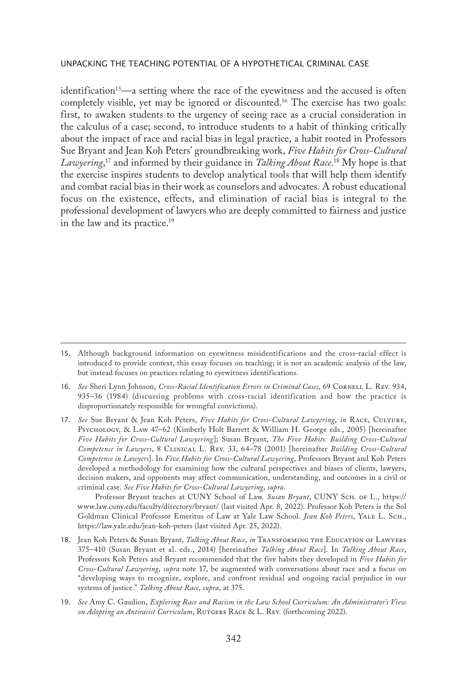identification<sup>15</sup>—a setting where the race of the eyewitness and the accused is often completely visible, yet may be ignored or discounted.<sup>16</sup> The exercise has two goals: first, to awaken students to the urgency of seeing race as a crucial consideration in the calculus of a case; second, to introduce students to a habit of thinking critically about the impact of race and racial bias in legal practice, a habit rooted in Professors Sue Bryant and Jean Koh Peters' groundbreaking work, *Five Habits for Cross-Cultural Lawyering*, 17 and informed by their guidance in *Talking About Race*. 18 My hope is that the exercise inspires students to develop analytical tools that will help them identify and combat racial bias in their work as counselors and advocates. A robust educational focus on the existence, effects, and elimination of racial bias is integral to the professional development of lawyers who are deeply committed to fairness and justice in the law and its practice.<sup>19</sup>

- 16. See Sheri Lynn Johnson, Cross-Racial Identification Errors in Criminal Cases, 69 CORNELL L. REV. 934, 935–36 (1984) (discussing problems with cross-racial identification and how the practice is disproportionately responsible for wrongful convictions).
- 17. *See* Sue Bryant & Jean Koh Peters, *Five Habits for Cross-Cultural Lawyering*, *in* Race, Culture, Psychology, & Law 47–62 (Kimberly Holt Barrett & William H. George eds., 2005) [hereinafter *Five Habits for Cross-Cultural Lawyering*]; Susan Bryant, *The Five Habits: Building Cross-Cultural Competence in Lawyers*, 8 Clinical L. Rev. 33, 64–78 (2001) [hereinafter *Building Cross-Cultural Competence in Lawyers*]. In *Five Habits for Cross-Cultural Lawyering*, Professors Bryant and Koh Peters developed a methodology for examining how the cultural perspectives and biases of clients, lawyers, decision makers, and opponents may affect communication, understanding, and outcomes in a civil or criminal case. *See Five Habits for Cross-Cultural Lawyering*, *supra*.

Professor Bryant teaches at CUNY School of Law. *Susan Bryant*, CUNY Sch. of L., https:// www.law.cuny.edu/faculty/directory/bryant/ (last visited Apr. 8, 2022). Professor Koh Peters is the Sol Goldman Clinical Professor Emeritus of Law at Yale Law School. *Jean Koh Peters*, Yale L. Sch., https://law.yale.edu/jean-koh-peters (last visited Apr. 25, 2022).

- 18. Jean Koh Peters & Susan Bryant, *Talking About Race*, *in* Transforming the Education of Lawyers 375–410 (Susan Bryant et al. eds., 2014) [hereinafter *Talking About Race*]. In *Talking About Race*, Professors Koh Peters and Bryant recommended that the five habits they developed in *Five Habits for Cross-Cultural Lawyering*, *supra* note 17, be augmented with conversations about race and a focus on "developing ways to recognize, explore, and confront residual and ongoing racial prejudice in our systems of justice." *Talking About Race*, *supra*, at 375.
- 19. *See* Amy C. Gaudion, *Exploring Race and Racism in the Law School Curriculum: An Administrator's View*  on Adopting an Antiracist Curriculum, RUTGERS RACE & L. REV. (forthcoming 2022).

<sup>15.</sup> Although background information on eyewitness misidentifications and the cross-racial effect is introduced to provide context, this essay focuses on teaching; it is not an academic analysis of the law, but instead focuses on practices relating to eyewitness identifications.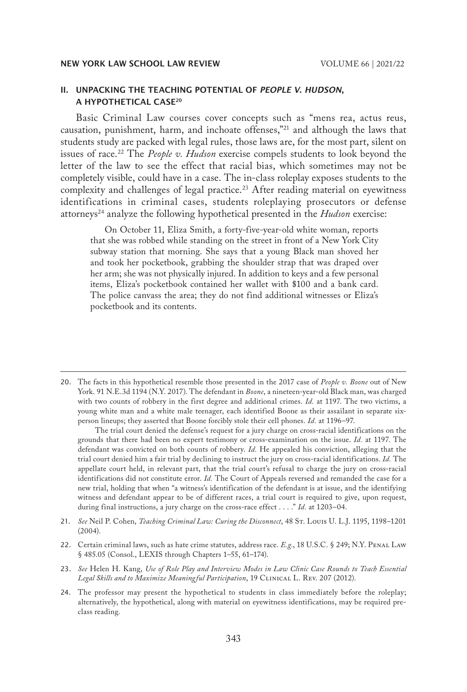# II. UNPACKING THE TEACHING POTENTIAL OF *PEOPLE V. HUDSON*, A HYPOTHETICAL CASE20

Basic Criminal Law courses cover concepts such as "mens rea, actus reus, causation, punishment, harm, and inchoate offenses,"21 and although the laws that students study are packed with legal rules, those laws are, for the most part, silent on issues of race.22 The *People v. Hudson* exercise compels students to look beyond the letter of the law to see the effect that racial bias, which sometimes may not be completely visible, could have in a case. The in-class roleplay exposes students to the complexity and challenges of legal practice.<sup>23</sup> After reading material on eyewitness identifications in criminal cases, students roleplaying prosecutors or defense attorneys<sup>24</sup> analyze the following hypothetical presented in the *Hudson* exercise:

On October 11, Eliza Smith, a forty-five-year-old white woman, reports that she was robbed while standing on the street in front of a New York City subway station that morning. She says that a young Black man shoved her and took her pocketbook, grabbing the shoulder strap that was draped over her arm; she was not physically injured. In addition to keys and a few personal items, Eliza's pocketbook contained her wallet with \$100 and a bank card. The police canvass the area; they do not find additional witnesses or Eliza's pocketbook and its contents.

The trial court denied the defense's request for a jury charge on cross-racial identifications on the grounds that there had been no expert testimony or cross-examination on the issue. *Id.* at 1197. The defendant was convicted on both counts of robbery. *Id.* He appealed his conviction, alleging that the trial court denied him a fair trial by declining to instruct the jury on cross-racial identifications. *Id.* The appellate court held, in relevant part, that the trial court's refusal to charge the jury on cross-racial identifications did not constitute error. *Id.* The Court of Appeals reversed and remanded the case for a new trial, holding that when "a witness's identification of the defendant is at issue, and the identifying witness and defendant appear to be of different races, a trial court is required to give, upon request, during final instructions, a jury charge on the cross-race effect . . . ." *Id.* at 1203–04.

<sup>20.</sup> The facts in this hypothetical resemble those presented in the 2017 case of *People v. Boone* out of New York. 91 N.E.3d 1194 (N.Y. 2017). The defendant in *Boone*, a nineteen-year-old Black man, was charged with two counts of robbery in the first degree and additional crimes. *Id.* at 1197. The two victims, a young white man and a white male teenager, each identified Boone as their assailant in separate sixperson lineups; they asserted that Boone forcibly stole their cell phones. *Id.* at 1196–97.

<sup>21.</sup> *See* Neil P. Cohen, *Teaching Criminal Law: Curing the Disconnect*, 48 St. Louis U. L.J. 1195, 1198–1201 (2004).

<sup>22.</sup> Certain criminal laws, such as hate crime statutes, address race. *E.g.*, 18 U.S.C. § 249; N.Y. PENAL LAW § 485.05 (Consol., LEXIS through Chapters 1–55, 61–174).

<sup>23.</sup> *See* Helen H. Kang, *Use of Role Play and Interview Modes in Law Clinic Case Rounds to Teach Essential Legal Skills and to Maximize Meaningful Participation*, 19 Clinical L. Rev. 207 (2012).

<sup>24.</sup> The professor may present the hypothetical to students in class immediately before the roleplay; alternatively, the hypothetical, along with material on eyewitness identifications, may be required preclass reading.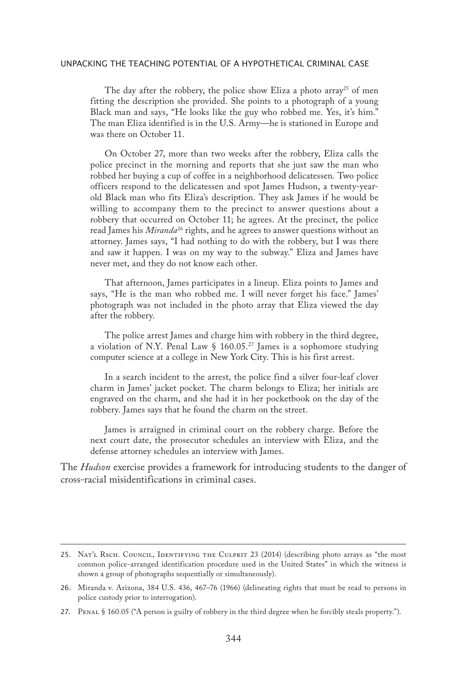The day after the robbery, the police show Eliza a photo array<sup>25</sup> of men fitting the description she provided. She points to a photograph of a young Black man and says, "He looks like the guy who robbed me. Yes, it's him." The man Eliza identified is in the U.S. Army—he is stationed in Europe and was there on October 11.

On October 27, more than two weeks after the robbery, Eliza calls the police precinct in the morning and reports that she just saw the man who robbed her buying a cup of coffee in a neighborhood delicatessen. Two police officers respond to the delicatessen and spot James Hudson, a twenty-yearold Black man who fits Eliza's description. They ask James if he would be willing to accompany them to the precinct to answer questions about a robbery that occurred on October 11; he agrees. At the precinct, the police read James his *Miranda*26 rights, and he agrees to answer questions without an attorney. James says, "I had nothing to do with the robbery, but I was there and saw it happen. I was on my way to the subway." Eliza and James have never met, and they do not know each other.

That afternoon, James participates in a lineup. Eliza points to James and says, "He is the man who robbed me. I will never forget his face." James' photograph was not included in the photo array that Eliza viewed the day after the robbery.

The police arrest James and charge him with robbery in the third degree, a violation of N.Y. Penal Law § 160.05.27 James is a sophomore studying computer science at a college in New York City. This is his first arrest.

In a search incident to the arrest, the police find a silver four-leaf clover charm in James' jacket pocket. The charm belongs to Eliza; her initials are engraved on the charm, and she had it in her pocketbook on the day of the robbery. James says that he found the charm on the street.

James is arraigned in criminal court on the robbery charge. Before the next court date, the prosecutor schedules an interview with Eliza, and the defense attorney schedules an interview with James.

The *Hudson* exercise provides a framework for introducing students to the danger of cross-racial misidentifications in criminal cases.

<sup>25.</sup> Nat'l Rsch. Council, Identifying the Culprit 23 (2014) (describing photo arrays as "the most common police-arranged identification procedure used in the United States" in which the witness is shown a group of photographs sequentially or simultaneously).

<sup>26.</sup> Miranda v. Arizona, 384 U.S. 436, 467–76 (1966) (delineating rights that must be read to persons in police custody prior to interrogation).

<sup>27.</sup> Penal § 160.05 ("A person is guilty of robbery in the third degree when he forcibly steals property.").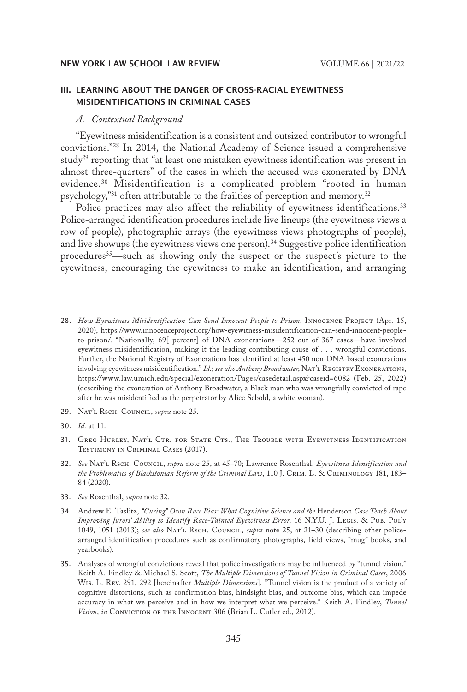# III. LEARNING ABOUT THE DANGER OF CROSS-RACIAL EYEWITNESS MISIDENTIFICATIONS IN CRIMINAL CASES

## *A. Contextual Background*

"Eyewitness misidentification is a consistent and outsized contributor to wrongful convictions."28 In 2014, the National Academy of Science issued a comprehensive study<sup>29</sup> reporting that "at least one mistaken eyewitness identification was present in almost three-quarters" of the cases in which the accused was exonerated by DNA evidence.30 Misidentification is a complicated problem "rooted in human psychology,"31 often attributable to the frailties of perception and memory.32

Police practices may also affect the reliability of eyewitness identifications.<sup>33</sup> Police-arranged identification procedures include live lineups (the eyewitness views a row of people), photographic arrays (the eyewitness views photographs of people), and live showups (the eyewitness views one person).<sup>34</sup> Suggestive police identification procedures<sup>35</sup>—such as showing only the suspect or the suspect's picture to the eyewitness, encouraging the eyewitness to make an identification, and arranging

- 29. Nat'l Rsch. Council, *supra* note 25.
- 30. *Id.* at 11.
- 31. Greg Hurley, Nat'l Ctr. for State Cts., The Trouble with Eyewitness-Identification Testimony in Criminal Cases (2017).
- 32. *See* Nat'l Rsch. Council, *supra* note 25, at 45–70; Lawrence Rosenthal, *Eyewitness Identification and the Problematics of Blackstonian Reform of the Criminal Law*, 110 J. Crim. L. & Criminology 181, 183– 84 (2020).
- 33. *See* Rosenthal, *supra* note 32.
- 34. Andrew E. Taslitz, *"Curing" Own Race Bias: What Cognitive Science and the* Henderson *Case Teach About Improving Jurors' Ability to Identify Race-Tainted Eyewitness Error*, 16 N.Y.U. J. Legis. & Pub. Pol'y 1049, 1051 (2013); *see also* Nat'l Rsch. Council, *supra* note 25, at 21–30 (describing other policearranged identification procedures such as confirmatory photographs, field views, "mug" books, and yearbooks).
- 35. Analyses of wrongful convictions reveal that police investigations may be influenced by "tunnel vision." Keith A. Findley & Michael S. Scott, *The Multiple Dimensions of Tunnel Vision in Criminal Cases*, 2006 Wis. L. Rev. 291, 292 [hereinafter *Multiple Dimensions*]. "Tunnel vision is the product of a variety of cognitive distortions, such as confirmation bias, hindsight bias, and outcome bias, which can impede accuracy in what we perceive and in how we interpret what we perceive." Keith A. Findley, *Tunnel Vision, in* CONVICTION OF THE INNOCENT 306 (Brian L. Cutler ed., 2012).

<sup>28.</sup> *How Eyewitness Misidentification Can Send Innocent People to Prison*, Innocence Project (Apr. 15, 2020), https://www.innocenceproject.org/how-eyewitness-misidentification-can-send-innocent-peopleto-prison/. "Nationally, 69[ percent] of DNA exonerations—252 out of 367 cases—have involved eyewitness misidentification, making it the leading contributing cause of . . . wrongful convictions. Further, the National Registry of Exonerations has identified at least 450 non-DNA-based exonerations involving eyewitness misidentification." *Id.*; *see also Anthony Broadwater*, Nat'l Registry Exonerations, https://www.law.umich.edu/special/exoneration/Pages/casedetail.aspx?caseid=6082 (Feb. 25, 2022) (describing the exoneration of Anthony Broadwater, a Black man who was wrongfully convicted of rape after he was misidentified as the perpetrator by Alice Sebold, a white woman).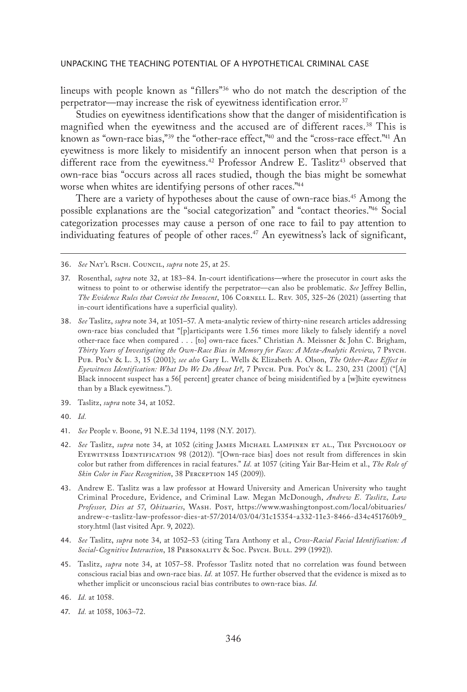lineups with people known as "fillers"36 who do not match the description of the perpetrator—may increase the risk of eyewitness identification error.<sup>37</sup>

Studies on eyewitness identifications show that the danger of misidentification is magnified when the eyewitness and the accused are of different races.<sup>38</sup> This is known as "own-race bias,"<sup>39</sup> the "other-race effect,"<sup>40</sup> and the "cross-race effect."<sup>41</sup> An eyewitness is more likely to misidentify an innocent person when that person is a different race from the evewitness.<sup>42</sup> Professor Andrew E. Taslitz<sup>43</sup> observed that own-race bias "occurs across all races studied, though the bias might be somewhat worse when whites are identifying persons of other races."44

There are a variety of hypotheses about the cause of own-race bias.<sup>45</sup> Among the possible explanations are the "social categorization" and "contact theories."46 Social categorization processes may cause a person of one race to fail to pay attention to individuating features of people of other races.<sup>47</sup> An eyewitness's lack of significant,

- 41. *See* People v. Boone, 91 N.E.3d 1194, 1198 (N.Y. 2017).
- 42. *See* Taslitz, *supra* note 34, at 1052 (citing James Michael Lampinen et al., The Psychology of EYEWITNESS IDENTIFICATION 98 (2012)). "[Own-race bias] does not result from differences in skin color but rather from differences in racial features." *Id.* at 1057 (citing Yair Bar-Heim et al., *The Role of Skin Color in Face Recognition*, 38 PERCEPTION 145 (2009)).
- 43. Andrew E. Taslitz was a law professor at Howard University and American University who taught Criminal Procedure, Evidence, and Criminal Law. Megan McDonough, *Andrew E. Taslitz, Law Professor, Dies at 57*, *Obituaries*, Wash. Post, https://www.washingtonpost.com/local/obituaries/ andrew-e-taslitz-law-professor-dies-at-57/2014/03/04/31c15354-a332-11e3-8466-d34c451760b9\_ story.html (last visited Apr. 9, 2022).
- 44. *See* Taslitz, *supra* note 34, at 1052–53 (citing Tara Anthony et al., *Cross-Racial Facial Identification: A*  Social-Cognitive Interaction, 18 PERSONALITY & Soc. Psych. Bull. 299 (1992)).
- 45. Taslitz, *supra* note 34, at 1057–58. Professor Taslitz noted that no correlation was found between conscious racial bias and own-race bias. *Id.* at 1057. He further observed that the evidence is mixed as to whether implicit or unconscious racial bias contributes to own-race bias. *Id.*

<sup>36.</sup> *See* Nat'l Rsch. Council, *supra* note 25, at 25.

<sup>37.</sup> Rosenthal, *supra* note 32, at 183–84. In-court identifications—where the prosecutor in court asks the witness to point to or otherwise identify the perpetrator—can also be problematic. *See* Jeffrey Bellin, *The Evidence Rules that Convict the Innocent*, 106 CORNELL L. REV. 305, 325-26 (2021) (asserting that in-court identifications have a superficial quality).

<sup>38.</sup> *See* Taslitz, *supra* note 34, at 1051–57. A meta-analytic review of thirty-nine research articles addressing own-race bias concluded that "[p]articipants were 1.56 times more likely to falsely identify a novel other-race face when compared . . . [to] own-race faces." Christian A. Meissner & John C. Brigham, *Thirty Years of Investigating the Own-Race Bias in Memory for Faces: A Meta-Analytic Review*, 7 Psych. Pub. Pol'y & L. 3, 15 (2001); *see also* Gary L. Wells & Elizabeth A. Olson, *The Other-Race Effect in Eyewitness Identification: What Do We Do About It?*, 7 Psych. Pub. Pol'y & L. 230, 231 (2001) ("[A] Black innocent suspect has a 56[ percent] greater chance of being misidentified by a [w]hite eyewitness than by a Black eyewitness.").

<sup>39.</sup> Taslitz, *supra* note 34, at 1052.

<sup>40.</sup> *Id.*

<sup>46.</sup> *Id.* at 1058.

<sup>47.</sup> *Id.* at 1058, 1063–72.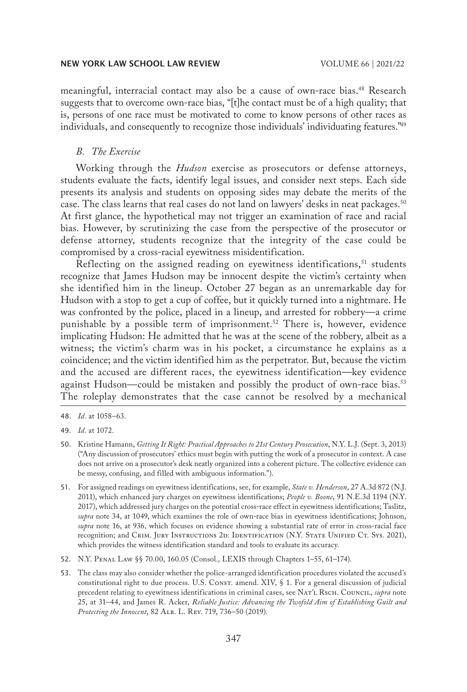meaningful, interracial contact may also be a cause of own-race bias.48 Research suggests that to overcome own-race bias, "[t]he contact must be of a high quality; that is, persons of one race must be motivated to come to know persons of other races as individuals, and consequently to recognize those individuals' individuating features."49

#### *B. The Exercise*

Working through the *Hudson* exercise as prosecutors or defense attorneys, students evaluate the facts, identify legal issues, and consider next steps. Each side presents its analysis and students on opposing sides may debate the merits of the case. The class learns that real cases do not land on lawyers' desks in neat packages.50 At first glance, the hypothetical may not trigger an examination of race and racial bias. However, by scrutinizing the case from the perspective of the prosecutor or defense attorney, students recognize that the integrity of the case could be compromised by a cross-racial eyewitness misidentification.

Reflecting on the assigned reading on eyewitness identifications, $51$  students recognize that James Hudson may be innocent despite the victim's certainty when she identified him in the lineup. October 27 began as an unremarkable day for Hudson with a stop to get a cup of coffee, but it quickly turned into a nightmare. He was confronted by the police, placed in a lineup, and arrested for robbery—a crime punishable by a possible term of imprisonment.<sup>52</sup> There is, however, evidence implicating Hudson: He admitted that he was at the scene of the robbery, albeit as a witness; the victim's charm was in his pocket, a circumstance he explains as a coincidence; and the victim identified him as the perpetrator. But, because the victim and the accused are different races, the eyewitness identification—key evidence against Hudson—could be mistaken and possibly the product of own-race bias.<sup>53</sup> The roleplay demonstrates that the case cannot be resolved by a mechanical

<sup>48.</sup> *Id.* at 1058–63.

<sup>49.</sup> *Id.* at 1072.

<sup>50.</sup> Kristine Hamann, *Getting It Right: Practical Approaches to 21st Century Prosecution*, N.Y. L.J. (Sept. 3, 2013) ("Any discussion of prosecutors' ethics must begin with putting the work of a prosecutor in context. A case does not arrive on a prosecutor's desk neatly organized into a coherent picture. The collective evidence can be messy, confusing, and filled with ambiguous information.").

<sup>51.</sup> For assigned readings on eyewitness identifications, see, for example, *State v. Henderson*, 27 A.3d 872 (N.J. 2011), which enhanced jury charges on eyewitness identifications; *People v. Boone*, 91 N.E.3d 1194 (N.Y. 2017), which addressed jury charges on the potential cross-race effect in eyewitness identifications; Taslitz, *supra* note 34, at 1049, which examines the role of own-race bias in eyewitness identifications; Johnson, *supra* note 16, at 936, which focuses on evidence showing a substantial rate of error in cross-racial face recognition; and CRIM. JURY INSTRUCTIONS 2D: IDENTIFICATION (N.Y. STATE UNIFIED CT. Sys. 2021), which provides the witness identification standard and tools to evaluate its accuracy.

<sup>52.</sup> N.Y. Penal Law §§ 70.00, 160.05 (Consol., LEXIS through Chapters 1–55, 61–174).

<sup>53.</sup> The class may also consider whether the police-arranged identification procedures violated the accused's constitutional right to due process. U.S. Const. amend. XIV, § 1. For a general discussion of judicial precedent relating to eyewitness identifications in criminal cases, see NAT'L RSCH. COUNCIL, *supra* note 25, at 31–44, and James R. Acker, *Reliable Justice: Advancing the Twofold Aim of Establishing Guilt and Protecting the Innocent*, 82 Alb. L. Rev. 719, 736–50 (2019).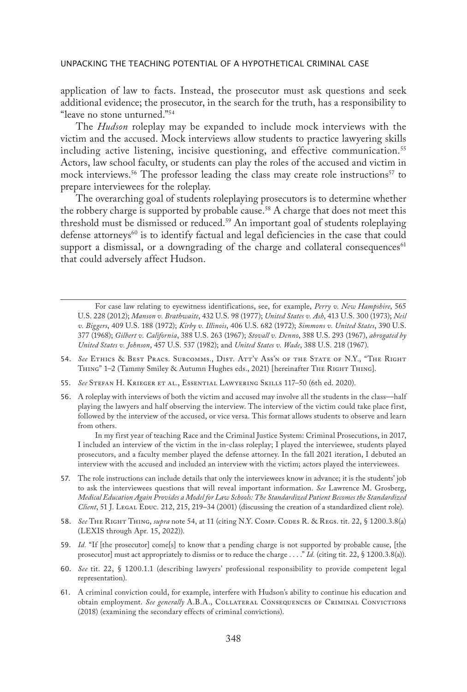application of law to facts. Instead, the prosecutor must ask questions and seek additional evidence; the prosecutor, in the search for the truth, has a responsibility to "leave no stone unturned."54

The *Hudson* roleplay may be expanded to include mock interviews with the victim and the accused. Mock interviews allow students to practice lawyering skills including active listening, incisive questioning, and effective communication.<sup>55</sup> Actors, law school faculty, or students can play the roles of the accused and victim in mock interviews.<sup>56</sup> The professor leading the class may create role instructions<sup>57</sup> to prepare interviewees for the roleplay.

The overarching goal of students roleplaying prosecutors is to determine whether the robbery charge is supported by probable cause.<sup>58</sup> A charge that does not meet this threshold must be dismissed or reduced.59 An important goal of students roleplaying defense attorneys<sup>60</sup> is to identify factual and legal deficiencies in the case that could support a dismissal, or a downgrading of the charge and collateral consequences<sup>61</sup> that could adversely affect Hudson.

- 54. *See* Ethics & Best Pracs. Subcomms., Dist. Att'y Ass'n of the State of N.Y., "The Right Thing" 1–2 (Tammy Smiley & Autumn Hughes eds., 2021) [hereinafter The Right Thing].
- 55. *See* Stefan H. Krieger et al., Essential Lawyering Skills 117–50 (6th ed. 2020).
- 56. A roleplay with interviews of both the victim and accused may involve all the students in the class—half playing the lawyers and half observing the interview. The interview of the victim could take place first, followed by the interview of the accused, or vice versa. This format allows students to observe and learn from others.

In my first year of teaching Race and the Criminal Justice System: Criminal Prosecutions, in 2017, I included an interview of the victim in the in-class roleplay; I played the interviewee, students played prosecutors, and a faculty member played the defense attorney. In the fall 2021 iteration, I debuted an interview with the accused and included an interview with the victim; actors played the interviewees.

- 57. The role instructions can include details that only the interviewees know in advance; it is the students' job to ask the interviewees questions that will reveal important information. *See* Lawrence M. Grosberg, *Medical Education Again Provides a Model for Law Schools: The Standardized Patient Becomes the Standardized Client*, 51 J. Legal Educ. 212, 215, 219–34 (2001) (discussing the creation of a standardized client role).
- 58. *See* The RIGHT THING, *supra* note 54, at 11 (citing N.Y. COMP. CODES R. & REGS. tit. 22, § 1200.3.8(a) (LEXIS through Apr. 15, 2022)).
- 59. *Id.* "If [the prosecutor] come[s] to know that a pending charge is not supported by probable cause, [the prosecutor] must act appropriately to dismiss or to reduce the charge . . . ." *Id.* (citing tit. 22, § 1200.3.8(a)).
- 60. *See* tit. 22, § 1200.1.1 (describing lawyers' professional responsibility to provide competent legal representation).
- 61. A criminal conviction could, for example, interfere with Hudson's ability to continue his education and obtain employment. *See generally* A.B.A., Collateral Consequences of Criminal Convictions (2018) (examining the secondary effects of criminal convictions).

For case law relating to eyewitness identifications, see, for example, *Perry v. New Hampshire*, 565 U.S. 228 (2012); *Manson v. Brathwaite*, 432 U.S. 98 (1977); *United States v. Ash*, 413 U.S. 300 (1973); *Neil v. Biggers*, 409 U.S. 188 (1972); *Kirby v. Illinois*, 406 U.S. 682 (1972); *Simmons v. United States*, 390 U.S. 377 (1968); *Gilbert v. California*, 388 U.S. 263 (1967); *Stovall v. Denno*, 388 U.S. 293 (1967), *abrogated by United States v. Johnson*, 457 U.S. 537 (1982); and *United States v. Wade*, 388 U.S. 218 (1967).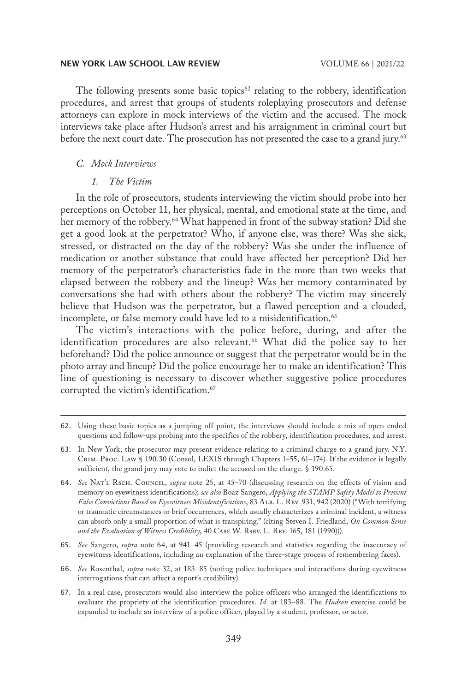The following presents some basic topics<sup>62</sup> relating to the robbery, identification procedures, and arrest that groups of students roleplaying prosecutors and defense attorneys can explore in mock interviews of the victim and the accused. The mock interviews take place after Hudson's arrest and his arraignment in criminal court but before the next court date. The prosecution has not presented the case to a grand jury.<sup>63</sup>

# *C. Mock Interviews*

## *1. The Victim*

In the role of prosecutors, students interviewing the victim should probe into her perceptions on October 11, her physical, mental, and emotional state at the time, and her memory of the robbery.<sup>64</sup> What happened in front of the subway station? Did she get a good look at the perpetrator? Who, if anyone else, was there? Was she sick, stressed, or distracted on the day of the robbery? Was she under the influence of medication or another substance that could have affected her perception? Did her memory of the perpetrator's characteristics fade in the more than two weeks that elapsed between the robbery and the lineup? Was her memory contaminated by conversations she had with others about the robbery? The victim may sincerely believe that Hudson was the perpetrator, but a flawed perception and a clouded, incomplete, or false memory could have led to a misidentification.<sup>65</sup>

The victim's interactions with the police before, during, and after the identification procedures are also relevant.<sup>66</sup> What did the police say to her beforehand? Did the police announce or suggest that the perpetrator would be in the photo array and lineup? Did the police encourage her to make an identification? This line of questioning is necessary to discover whether suggestive police procedures corrupted the victim's identification.<sup>67</sup>

67. In a real case, prosecutors would also interview the police officers who arranged the identifications to evaluate the propriety of the identification procedures. *Id.* at 183–88. The *Hudson* exercise could be expanded to include an interview of a police officer, played by a student, professor, or actor.

<sup>62.</sup> Using these basic topics as a jumping-off point, the interviews should include a mix of open-ended questions and follow-ups probing into the specifics of the robbery, identification procedures, and arrest.

<sup>63.</sup> In New York, the prosecutor may present evidence relating to a criminal charge to a grand jury. N.Y. Crim. Proc. Law § 190.30 (Consol, LEXIS through Chapters 1–55, 61–174). If the evidence is legally sufficient, the grand jury may vote to indict the accused on the charge. § 190.65.

<sup>64.</sup> *See* Nat'l Rsch. Council, *supra* note 25, at 45–70 (discussing research on the effects of vision and memory on eyewitness identifications); *see also* Boaz Sangero, *Applying the STAMP Safety Model to Prevent False Convictions Based on Eyewitness Misidentifications*, 83 Alb. L. Rev. 931, 942 (2020) ("With terrifying or traumatic circumstances or brief occurrences, which usually characterizes a criminal incident, a witness can absorb only a small proportion of what is transpiring." (citing Steven I. Friedland, *On Common Sense and the Evaluation of Witness Credibility*, 40 Case W. Rsrv. L. Rev. 165, 181 (1990))).

<sup>65.</sup> *See* Sangero, *supra* note 64, at 941–45 (providing research and statistics regarding the inaccuracy of eyewitness identifications, including an explanation of the three-stage process of remembering faces).

<sup>66.</sup> *See* Rosenthal, *supra* note 32, at 183–85 (noting police techniques and interactions during eyewitness interrogations that can affect a report's credibility).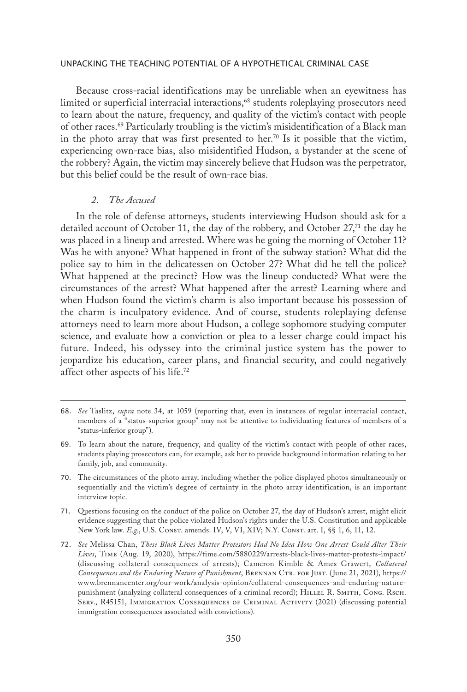Because cross-racial identifications may be unreliable when an eyewitness has limited or superficial interracial interactions, $68$  students roleplaying prosecutors need to learn about the nature, frequency, and quality of the victim's contact with people of other races.69 Particularly troubling is the victim's misidentification of a Black man in the photo array that was first presented to her.<sup>70</sup> Is it possible that the victim, experiencing own-race bias, also misidentified Hudson, a bystander at the scene of the robbery? Again, the victim may sincerely believe that Hudson was the perpetrator, but this belief could be the result of own-race bias.

# *2. The Accused*

In the role of defense attorneys, students interviewing Hudson should ask for a detailed account of October 11, the day of the robbery, and October 27,71 the day he was placed in a lineup and arrested. Where was he going the morning of October 11? Was he with anyone? What happened in front of the subway station? What did the police say to him in the delicatessen on October 27? What did he tell the police? What happened at the precinct? How was the lineup conducted? What were the circumstances of the arrest? What happened after the arrest? Learning where and when Hudson found the victim's charm is also important because his possession of the charm is inculpatory evidence. And of course, students roleplaying defense attorneys need to learn more about Hudson, a college sophomore studying computer science, and evaluate how a conviction or plea to a lesser charge could impact his future. Indeed, his odyssey into the criminal justice system has the power to jeopardize his education, career plans, and financial security, and could negatively affect other aspects of his life.72

<sup>68.</sup> *See* Taslitz, *supra* note 34, at 1059 (reporting that, even in instances of regular interracial contact, members of a "status-superior group" may not be attentive to individuating features of members of a "status-inferior group").

<sup>69.</sup> To learn about the nature, frequency, and quality of the victim's contact with people of other races, students playing prosecutors can, for example, ask her to provide background information relating to her family, job, and community.

<sup>70.</sup> The circumstances of the photo array, including whether the police displayed photos simultaneously or sequentially and the victim's degree of certainty in the photo array identification, is an important interview topic.

<sup>71.</sup> Questions focusing on the conduct of the police on October 27, the day of Hudson's arrest, might elicit evidence suggesting that the police violated Hudson's rights under the U.S. Constitution and applicable New York law. *E.g.*, U.S. Const. amends. IV, V, VI, XIV; N.Y. Const. art. I, §§ 1, 6, 11, 12.

<sup>72.</sup> *See* Melissa Chan, *These Black Lives Matter Protestors Had No Idea How One Arrest Could Alter Their Lives*, Time (Aug. 19, 2020), https://time.com/5880229/arrests-black-lives-matter-protests-impact/ (discussing collateral consequences of arrests); Cameron Kimble & Ames Grawert, *Collateral Consequences and the Enduring Nature of Punishment*, Brennan Ctr. for Just. (June 21, 2021), https:// www.brennancenter.org/our-work/analysis-opinion/collateral-consequences-and-enduring-naturepunishment (analyzing collateral consequences of a criminal record); HILLEL R. SMITH, CONG. RSCH. Serv., R45151, Immigration Consequences of Criminal Activity (2021) (discussing potential immigration consequences associated with convictions).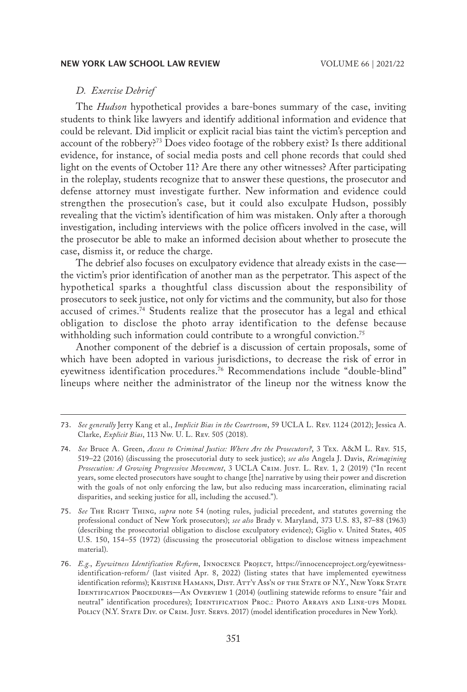# *D. Exercise Debrief*

The *Hudson* hypothetical provides a bare-bones summary of the case, inviting students to think like lawyers and identify additional information and evidence that could be relevant. Did implicit or explicit racial bias taint the victim's perception and account of the robbery?73 Does video footage of the robbery exist? Is there additional evidence, for instance, of social media posts and cell phone records that could shed light on the events of October 11? Are there any other witnesses? After participating in the roleplay, students recognize that to answer these questions, the prosecutor and defense attorney must investigate further. New information and evidence could strengthen the prosecution's case, but it could also exculpate Hudson, possibly revealing that the victim's identification of him was mistaken. Only after a thorough investigation, including interviews with the police officers involved in the case, will the prosecutor be able to make an informed decision about whether to prosecute the case, dismiss it, or reduce the charge.

The debrief also focuses on exculpatory evidence that already exists in the case the victim's prior identification of another man as the perpetrator. This aspect of the hypothetical sparks a thoughtful class discussion about the responsibility of prosecutors to seek justice, not only for victims and the community, but also for those accused of crimes.74 Students realize that the prosecutor has a legal and ethical obligation to disclose the photo array identification to the defense because withholding such information could contribute to a wrongful conviction.<sup>75</sup>

Another component of the debrief is a discussion of certain proposals, some of which have been adopted in various jurisdictions, to decrease the risk of error in eyewitness identification procedures.<sup>76</sup> Recommendations include "double-blind" lineups where neither the administrator of the lineup nor the witness know the

75. *See* The Right Thing, *supra* note 54 (noting rules, judicial precedent, and statutes governing the professional conduct of New York prosecutors); *see also* Brady v. Maryland, 373 U.S. 83, 87–88 (1963) (describing the prosecutorial obligation to disclose exculpatory evidence); Giglio v. United States, 405 U.S. 150, 154–55 (1972) (discussing the prosecutorial obligation to disclose witness impeachment material).

<sup>73.</sup> *See generally* Jerry Kang et al., *Implicit Bias in the Courtroom*, 59 UCLA L. Rev. 1124 (2012); Jessica A. Clarke, *Explicit Bias*, 113 Nw. U. L. Rev. 505 (2018).

<sup>74.</sup> *See* Bruce A. Green, *Access to Criminal Justice: Where Are the Prosecutors?*, 3 Tex. A&M L. Rev. 515, 519–22 (2016) (discussing the prosecutorial duty to seek justice); *see also* Angela J. Davis, *Reimagining Prosecution: A Growing Progressive Movement*, 3 UCLA Crim. Just. L. Rev. 1, 2 (2019) ("In recent years, some elected prosecutors have sought to change [the] narrative by using their power and discretion with the goals of not only enforcing the law, but also reducing mass incarceration, eliminating racial disparities, and seeking justice for all, including the accused.").

<sup>76.</sup> *E.g.*, *Eyewitness Identification Reform*, Innocence Project, https://innocenceproject.org/eyewitnessidentification-reform/ (last visited Apr. 8, 2022) (listing states that have implemented eyewitness identification reforms); KRISTINE HAMANN, DIST. ATT'Y ASS'N OF THE STATE OF N.Y., NEW YORK STATE IDENTIFICATION PROCEDURES—AN OVERVIEW 1 (2014) (outlining statewide reforms to ensure "fair and neutral" identification procedures); IDENTIFICATION PROC.: PHOTO ARRAYS AND LINE-UPS MODEL POLICY (N.Y. STATE DIV. OF CRIM. JUST. SERVS. 2017) (model identification procedures in New York).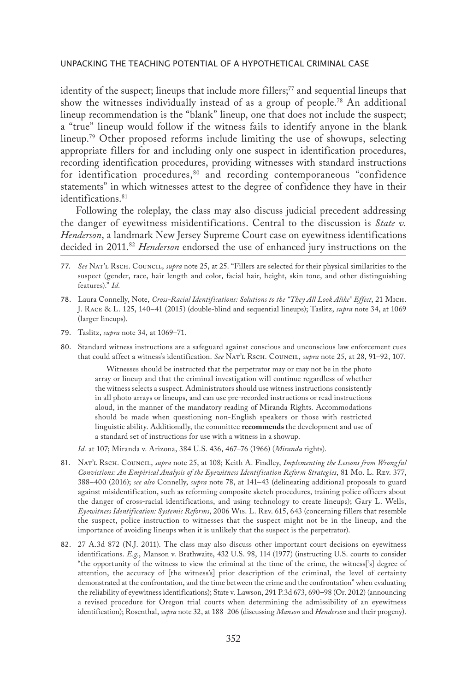identity of the suspect; lineups that include more fillers;<sup>77</sup> and sequential lineups that show the witnesses individually instead of as a group of people.78 An additional lineup recommendation is the "blank" lineup, one that does not include the suspect; a "true" lineup would follow if the witness fails to identify anyone in the blank lineup.79 Other proposed reforms include limiting the use of showups, selecting appropriate fillers for and including only one suspect in identification procedures, recording identification procedures, providing witnesses with standard instructions for identification procedures,<sup>80</sup> and recording contemporaneous "confidence statements" in which witnesses attest to the degree of confidence they have in their identifications.<sup>81</sup>

Following the roleplay, the class may also discuss judicial precedent addressing the danger of eyewitness misidentifications. Central to the discussion is *State v. Henderson*, a landmark New Jersey Supreme Court case on eyewitness identifications decided in 2011.82 *Henderson* endorsed the use of enhanced jury instructions on the

- 77. See Nat'l Rsch. Council, *supra* note 25, at 25. "Fillers are selected for their physical similarities to the suspect (gender, race, hair length and color, facial hair, height, skin tone, and other distinguishing features)." *Id.*
- 78. Laura Connelly, Note, *Cross-Racial Identifications: Solutions to the "They All Look Alike" Effect*, 21 Mich. J. Race & L. 125, 140–41 (2015) (double-blind and sequential lineups); Taslitz, *supra* note 34, at 1069 (larger lineups).
- 79. Taslitz, *supra* note 34, at 1069–71.
- 80. Standard witness instructions are a safeguard against conscious and unconscious law enforcement cues that could affect a witness's identification. *See* Nar'l Rsch. Council, *supra* note 25, at 28, 91-92, 107.

Witnesses should be instructed that the perpetrator may or may not be in the photo array or lineup and that the criminal investigation will continue regardless of whether the witness selects a suspect. Administrators should use witness instructions consistently in all photo arrays or lineups, and can use pre-recorded instructions or read instructions aloud, in the manner of the mandatory reading of Miranda Rights. Accommodations should be made when questioning non-English speakers or those with restricted linguistic ability. Additionally, the committee **recommends** the development and use of a standard set of instructions for use with a witness in a showup.

*Id.* at 107; Miranda v. Arizona, 384 U.S. 436, 467–76 (1966) (*Miranda* rights).

- 81. Nat'l Rsch. Council, *supra* note 25, at 108; Keith A. Findley, *Implementing the Lessons from Wrongful Convictions: An Empirical Analysis of the Eyewitness Identification Reform Strategies*, 81 Mo. L. Rev. 377, 388–400 (2016); *see also* Connelly, *supra* note 78, at 141–43 (delineating additional proposals to guard against misidentification, such as reforming composite sketch procedures, training police officers about the danger of cross-racial identifications, and using technology to create lineups); Gary L. Wells, *Eyewitness Identification: Systemic Reforms*, 2006 Wis. L. Rev. 615, 643 (concerning fillers that resemble the suspect, police instruction to witnesses that the suspect might not be in the lineup, and the importance of avoiding lineups when it is unlikely that the suspect is the perpetrator).
- 82. 27 A.3d 872 (N.J. 2011). The class may also discuss other important court decisions on eyewitness identifications. *E.g.*, Manson v. Brathwaite, 432 U.S. 98, 114 (1977) (instructing U.S. courts to consider "the opportunity of the witness to view the criminal at the time of the crime, the witness['s] degree of attention, the accuracy of [the witness's] prior description of the criminal, the level of certainty demonstrated at the confrontation, and the time between the crime and the confrontation" when evaluating the reliability of eyewitness identifications); State v. Lawson, 291 P.3d 673, 690–98 (Or. 2012) (announcing a revised procedure for Oregon trial courts when determining the admissibility of an eyewitness identification); Rosenthal, *supra* note 32, at 188–206 (discussing *Manson* and *Henderson* and their progeny).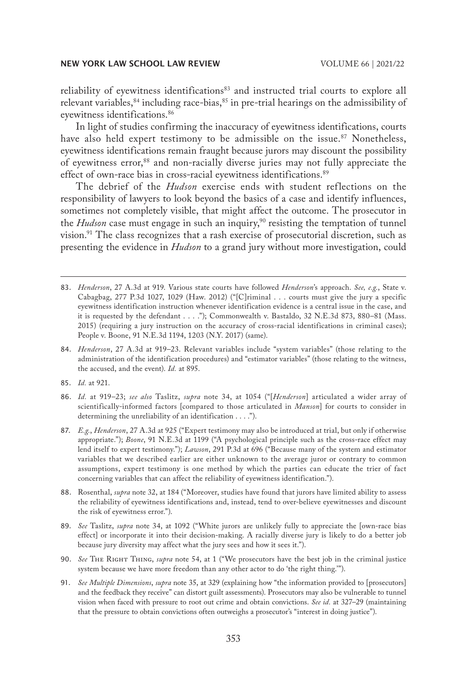reliability of eyewitness identifications<sup>83</sup> and instructed trial courts to explore all relevant variables,<sup>84</sup> including race-bias,<sup>85</sup> in pre-trial hearings on the admissibility of eyewitness identifications.<sup>86</sup>

In light of studies confirming the inaccuracy of eyewitness identifications, courts have also held expert testimony to be admissible on the issue.<sup>87</sup> Nonetheless, eyewitness identifications remain fraught because jurors may discount the possibility of eyewitness error,<sup>88</sup> and non-racially diverse juries may not fully appreciate the effect of own-race bias in cross-racial eyewitness identifications.<sup>89</sup>

The debrief of the *Hudson* exercise ends with student reflections on the responsibility of lawyers to look beyond the basics of a case and identify influences, sometimes not completely visible, that might affect the outcome. The prosecutor in the *Hudson* case must engage in such an inquiry,<sup>90</sup> resisting the temptation of tunnel vision.<sup>91</sup> The class recognizes that a rash exercise of prosecutorial discretion, such as presenting the evidence in *Hudson* to a grand jury without more investigation, could

- 90. *See* The Right Thing, *supra* note 54, at 1 ("We prosecutors have the best job in the criminal justice system because we have more freedom than any other actor to do 'the right thing.'").
- 91. *See Multiple Dimensions*, *supra* note 35, at 329 (explaining how "the information provided to [prosecutors] and the feedback they receive" can distort guilt assessments). Prosecutors may also be vulnerable to tunnel vision when faced with pressure to root out crime and obtain convictions. *See id.* at 327–29 (maintaining that the pressure to obtain convictions often outweighs a prosecutor's "interest in doing justice").

<sup>83.</sup> *Henderson*, 27 A.3d at 919. Various state courts have followed *Henderson*'s approach. *See, e.g.*, State v. Cabagbag, 277 P.3d 1027, 1029 (Haw. 2012) ("[C]riminal . . . courts must give the jury a specific eyewitness identification instruction whenever identification evidence is a central issue in the case, and it is requested by the defendant . . . ."); Commonwealth v. Bastaldo, 32 N.E.3d 873, 880–81 (Mass. 2015) (requiring a jury instruction on the accuracy of cross-racial identifications in criminal cases); People v. Boone, 91 N.E.3d 1194, 1203 (N.Y. 2017) (same).

<sup>84.</sup> *Henderson*, 27 A.3d at 919–23. Relevant variables include "system variables" (those relating to the administration of the identification procedures) and "estimator variables" (those relating to the witness, the accused, and the event). *Id.* at 895.

<sup>85.</sup> *Id.* at 921.

<sup>86.</sup> *Id.* at 919–23; *see also* Taslitz, *supra* note 34, at 1054 ("[*Henderson*] articulated a wider array of scientifically-informed factors [compared to those articulated in *Manson*] for courts to consider in determining the unreliability of an identification . . . .").

<sup>87.</sup> *E.g.*, *Henderson*, 27 A.3d at 925 ("Expert testimony may also be introduced at trial, but only if otherwise appropriate."); *Boone*, 91 N.E.3d at 1199 ("A psychological principle such as the cross-race effect may lend itself to expert testimony."); *Lawson*, 291 P.3d at 696 ("Because many of the system and estimator variables that we described earlier are either unknown to the average juror or contrary to common assumptions, expert testimony is one method by which the parties can educate the trier of fact concerning variables that can affect the reliability of eyewitness identification.").

<sup>88.</sup> Rosenthal, *supra* note 32, at 184 ("Moreover, studies have found that jurors have limited ability to assess the reliability of eyewitness identifications and, instead, tend to over-believe eyewitnesses and discount the risk of eyewitness error.").

<sup>89.</sup> *See* Taslitz, *supra* note 34, at 1092 ("White jurors are unlikely fully to appreciate the [own-race bias effect] or incorporate it into their decision-making. A racially diverse jury is likely to do a better job because jury diversity may affect what the jury sees and how it sees it.").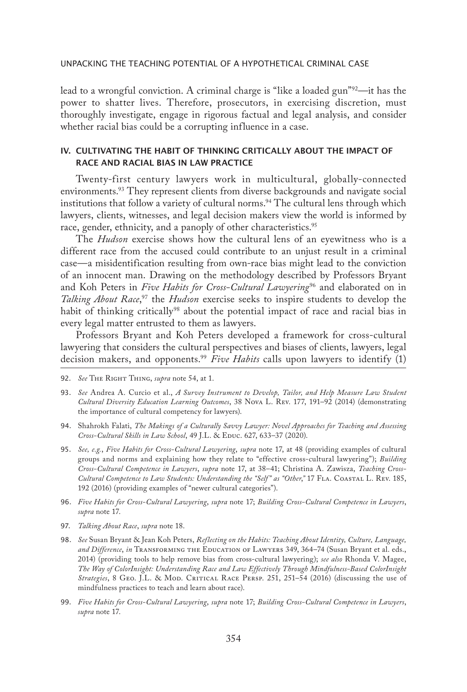lead to a wrongful conviction. A criminal charge is "like a loaded gun"92—it has the power to shatter lives. Therefore, prosecutors, in exercising discretion, must thoroughly investigate, engage in rigorous factual and legal analysis, and consider whether racial bias could be a corrupting influence in a case.

# IV. CULTIVATING THE HABIT OF THINKING CRITICALLY ABOUT THE IMPACT OF RACE AND RACIAL BIAS IN LAW PRACTICE

Twenty-first century lawyers work in multicultural, globally-connected environments.<sup>93</sup> They represent clients from diverse backgrounds and navigate social institutions that follow a variety of cultural norms.<sup>94</sup> The cultural lens through which lawyers, clients, witnesses, and legal decision makers view the world is informed by race, gender, ethnicity, and a panoply of other characteristics.<sup>95</sup>

The *Hudson* exercise shows how the cultural lens of an eyewitness who is a different race from the accused could contribute to an unjust result in a criminal case—a misidentification resulting from own-race bias might lead to the conviction of an innocent man. Drawing on the methodology described by Professors Bryant and Koh Peters in *Five Habits for Cross-Cultural Lawyering*96 and elaborated on in *Talking About Race*, <sup>97</sup> the *Hudson* exercise seeks to inspire students to develop the habit of thinking critically<sup>98</sup> about the potential impact of race and racial bias in every legal matter entrusted to them as lawyers.

Professors Bryant and Koh Peters developed a framework for cross-cultural lawyering that considers the cultural perspectives and biases of clients, lawyers, legal decision makers, and opponents.99 *Five Habits* calls upon lawyers to identify (1)

- 93. *See* Andrea A. Curcio et al., *A Survey Instrument to Develop, Tailor, and Help Measure Law Student Cultural Diversity Education Learning Outcomes*, 38 Nova L. Rev. 177, 191–92 (2014) (demonstrating the importance of cultural competency for lawyers).
- 94. Shahrokh Falati, *The Makings of a Culturally Savvy Lawyer: Novel Approaches for Teaching and Assessing Cross-Cultural Skills in Law School*, 49 J.L. & Educ. 627, 633–37 (2020).
- 95. *See, e.g.*, *Five Habits for Cross-Cultural Lawyering*, *supra* note 17, at 48 (providing examples of cultural groups and norms and explaining how they relate to "effective cross-cultural lawyering"); *Building Cross-Cultural Competence in Lawyers*, *supra* note 17, at 38–41; Christina A. Zawisza, *Teaching Cross-Cultural Competence to Law Students: Understanding the "Self " as "Other*,*"* 17 Fla. Coastal L. Rev. 185, 192 (2016) (providing examples of "newer cultural categories").
- 96. *Five Habits for Cross-Cultural Lawyering*, *supra* note 17; *Building Cross-Cultural Competence in Lawyers*, *supra* note 17.
- 97. *Talking About Race*, *supra* note 18.
- 98. *See* Susan Bryant & Jean Koh Peters, *Reflecting on the Habits: Teaching About Identity, Culture, Language, and Difference*, *in* Transforming the Education of Lawyers 349, 364–74 (Susan Bryant et al. eds., 2014) (providing tools to help remove bias from cross-cultural lawyering); *see also* Rhonda V. Magee, *The Way of ColorInsight: Understanding Race and Law Effectively Through Mindfulness-Based ColorInsight Strategies*, 8 Geo. J.L. & Mod. Critical Race Persp. 251, 251–54 (2016) (discussing the use of mindfulness practices to teach and learn about race).
- 99. *Five Habits for Cross-Cultural Lawyering*, *supra* note 17; *Building Cross-Cultural Competence in Lawyers*, *supra* note 17.

<sup>92.</sup> *See* The Right Thing, *supra* note 54, at 1.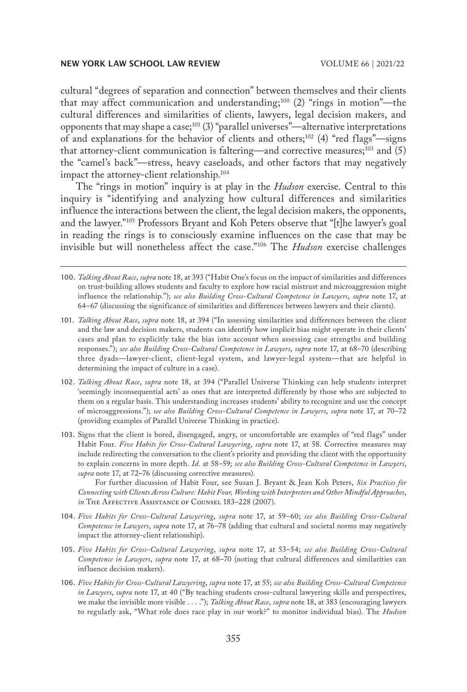cultural "degrees of separation and connection" between themselves and their clients that may affect communication and understanding;<sup>100</sup> (2) "rings in motion"—the cultural differences and similarities of clients, lawyers, legal decision makers, and opponents that may shape a case;<sup>101</sup> (3) "parallel universes"—alternative interpretations of and explanations for the behavior of clients and others;102 (4) "red flags"—signs that attorney-client communication is faltering—and corrective measures;<sup>103</sup> and  $(5)$ the "camel's back"—stress, heavy caseloads, and other factors that may negatively impact the attorney-client relationship.104

The "rings in motion" inquiry is at play in the *Hudson* exercise. Central to this inquiry is "identifying and analyzing how cultural differences and similarities influence the interactions between the client, the legal decision makers, the opponents, and the lawyer."105 Professors Bryant and Koh Peters observe that "[t]he lawyer's goal in reading the rings is to consciously examine influences on the case that may be invisible but will nonetheless affect the case."106 The *Hudson* exercise challenges

- 100. *Talking About Race*, *supra* note 18, at 393 ("Habit One's focus on the impact of similarities and differences on trust-building allows students and faculty to explore how racial mistrust and microaggression might influence the relationship."); *see also Building Cross-Cultural Competence in Lawyers*, *supra* note 17, at 64–67 (discussing the significance of similarities and differences between lawyers and their clients).
- 101. *Talking About Race*, *supra* note 18, at 394 ("In assessing similarities and differences between the client and the law and decision makers, students can identify how implicit bias might operate in their clients' cases and plan to explicitly take the bias into account when assessing case strengths and building responses."); *see also Building Cross-Cultural Competence in Lawyers*, *supra* note 17, at 68–70 (describing three dyads—lawyer-client, client-legal system, and lawyer-legal system—that are helpful in determining the impact of culture in a case).
- 102. *Talking About Race*, *supra* note 18, at 394 ("Parallel Universe Thinking can help students interpret 'seemingly inconsequential acts' as ones that are interpreted differently by those who are subjected to them on a regular basis. This understanding increases students' ability to recognize and use the concept of microaggressions."); *see also Building Cross-Cultural Competence in Lawyers*, *supra* note 17, at 70–72 (providing examples of Parallel Universe Thinking in practice).
- 103. Signs that the client is bored, disengaged, angry, or uncomfortable are examples of "red flags" under Habit Four. *Five Habits for Cross-Cultural Lawyering*, *supra* note 17, at 58. Corrective measures may include redirecting the conversation to the client's priority and providing the client with the opportunity to explain concerns in more depth. *Id.* at 58–59; *see also Building Cross-Cultural Competence in Lawyers*, *supra* note 17, at 72–76 (discussing corrective measures).

For further discussion of Habit Four, see Susan J. Bryant & Jean Koh Peters, *Six Practices for Connecting with Clients Across Culture: Habit Four, Working with Interpreters and Other Mindful Approaches*, *in* The Affective Assistance of Counsel 183–228 (2007).

- 104. *Five Habits for Cross-Cultural Lawyering*, *supra* note 17, at 59–60; *see also Building Cross-Cultural Competence in Lawyers*, *supra* note 17, at 76–78 (adding that cultural and societal norms may negatively impact the attorney-client relationship).
- 105. *Five Habits for Cross-Cultural Lawyering*, *supra* note 17, at 53–54; *see also Building Cross-Cultural Competence in Lawyers*, *supra* note 17, at 68–70 (noting that cultural differences and similarities can influence decision makers).
- 106. *Five Habits for Cross-Cultural Lawyering*, *supra* note 17, at 55; *see also Building Cross-Cultural Competence in Lawyers*, *supra* note 17, at 40 ("By teaching students cross-cultural lawyering skills and perspectives, we make the invisible more visible . . . ."); *Talking About Race*, *supra* note 18, at 383 (encouraging lawyers to regularly ask, "What role does race play in our work?" to monitor individual bias). The *Hudson*